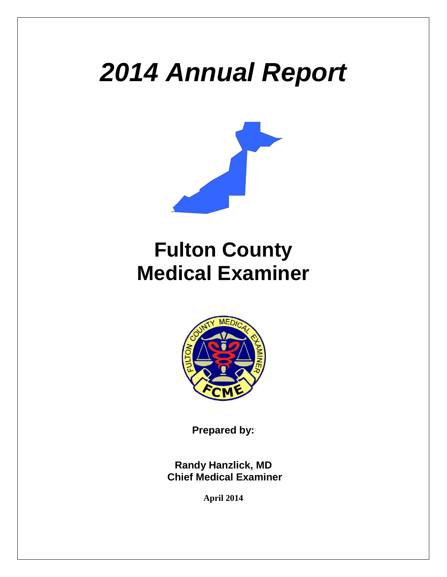# *2014 Annual Report*



# **Fulton County Medical Examiner**



**Prepared by:**

**Randy Hanzlick, MD Chief Medical Examiner**

**April 2014**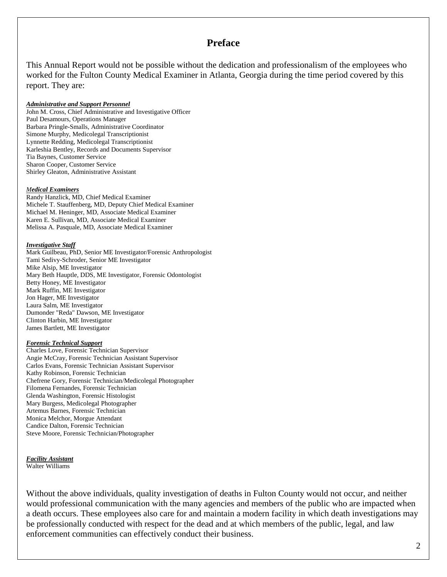#### **Preface**

This Annual Report would not be possible without the dedication and professionalism of the employees who worked for the Fulton County Medical Examiner in Atlanta, Georgia during the time period covered by this report. They are:

#### *Administrative and Support Personnel*

John M. Cross, Chief Administrative and Investigative Officer Paul Desamours, Operations Manager Barbara Pringle-Smalls, Administrative Coordinator Simone Murphy, Medicolegal Transcriptionist Lynnette Redding, Medicolegal Transcriptionist Karleshia Bentley, Records and Documents Supervisor Tia Baynes, Customer Service Sharon Cooper, Customer Service Shirley Gleaton, Administrative Assistant

#### *Medical Examiners*

Randy Hanzlick, MD, Chief Medical Examiner Michele T. Stauffenberg, MD, Deputy Chief Medical Examiner Michael M. Heninger, MD, Associate Medical Examiner Karen E. Sullivan, MD, Associate Medical Examiner Melissa A. Pasquale, MD, Associate Medical Examiner

#### *Investigative Staff*

Mark Guilbeau, PhD, Senior ME Investigator/Forensic Anthropologist Tami Sedivy-Schroder, Senior ME Investigator Mike Alsip, ME Investigator Mary Beth Hauptle, DDS, ME Investigator, Forensic Odontologist Betty Honey, ME Investigator Mark Ruffin, ME Investigator Jon Hager, ME Investigator Laura Salm, ME Investigator Dumonder "Reda" Dawson, ME Investigator Clinton Harbin, ME Investigator James Bartlett, ME Investigator

#### *Forensic Technical Support*

Charles Love, Forensic Technician Supervisor Angie McCray, Forensic Technician Assistant Supervisor Carlos Evans, Forensic Technician Assistant Supervisor Kathy Robinson, Forensic Technician Chefrene Gory, Forensic Technician/Medicolegal Photographer Filomena Fernandes, Forensic Technician Glenda Washington, Forensic Histologist Mary Burgess, Medicolegal Photographer Artemus Barnes, Forensic Technician Monica Melchor, Morgue Attendant Candice Dalton, Forensic Technician Steve Moore, Forensic Technician/Photographer

#### *Facility Assistant* Walter Williams

Without the above individuals, quality investigation of deaths in Fulton County would not occur, and neither would professional communication with the many agencies and members of the public who are impacted when a death occurs. These employees also care for and maintain a modern facility in which death investigations may be professionally conducted with respect for the dead and at which members of the public, legal, and law enforcement communities can effectively conduct their business.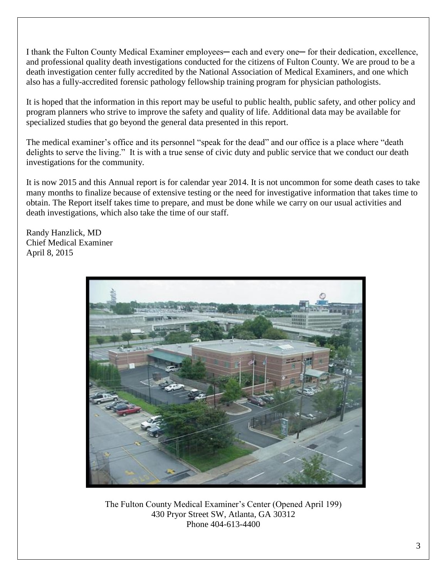I thank the Fulton County Medical Examiner employees— each and every one— for their dedication, excellence, and professional quality death investigations conducted for the citizens of Fulton County. We are proud to be a death investigation center fully accredited by the National Association of Medical Examiners, and one which also has a fully-accredited forensic pathology fellowship training program for physician pathologists.

It is hoped that the information in this report may be useful to public health, public safety, and other policy and program planners who strive to improve the safety and quality of life. Additional data may be available for specialized studies that go beyond the general data presented in this report.

The medical examiner's office and its personnel "speak for the dead" and our office is a place where "death delights to serve the living." It is with a true sense of civic duty and public service that we conduct our death investigations for the community.

It is now 2015 and this Annual report is for calendar year 2014. It is not uncommon for some death cases to take many months to finalize because of extensive testing or the need for investigative information that takes time to obtain. The Report itself takes time to prepare, and must be done while we carry on our usual activities and death investigations, which also take the time of our staff.

Randy Hanzlick, MD Chief Medical Examiner April 8, 2015



The Fulton County Medical Examiner's Center (Opened April 199) 430 Pryor Street SW, Atlanta, GA 30312 Phone 404-613-4400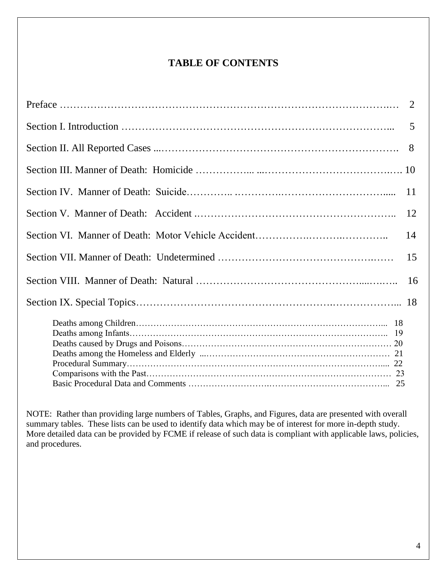## **TABLE OF CONTENTS**

| Preface $\ldots$ $\ldots$ $\ldots$ $\ldots$ $\ldots$ $\ldots$ $\ldots$ $\ldots$ $\ldots$ $\ldots$ $\ldots$ $\ldots$ $\ldots$ $\ldots$ $\ldots$ $\ldots$ $\ldots$ $\ldots$ |     |
|---------------------------------------------------------------------------------------------------------------------------------------------------------------------------|-----|
|                                                                                                                                                                           | 5   |
|                                                                                                                                                                           | 8   |
|                                                                                                                                                                           |     |
|                                                                                                                                                                           | 11  |
|                                                                                                                                                                           | 12  |
|                                                                                                                                                                           | 14  |
|                                                                                                                                                                           | 15  |
|                                                                                                                                                                           | -16 |
|                                                                                                                                                                           |     |
|                                                                                                                                                                           |     |
|                                                                                                                                                                           |     |

NOTE: Rather than providing large numbers of Tables, Graphs, and Figures, data are presented with overall summary tables. These lists can be used to identify data which may be of interest for more in-depth study. More detailed data can be provided by FCME if release of such data is compliant with applicable laws, policies, and procedures.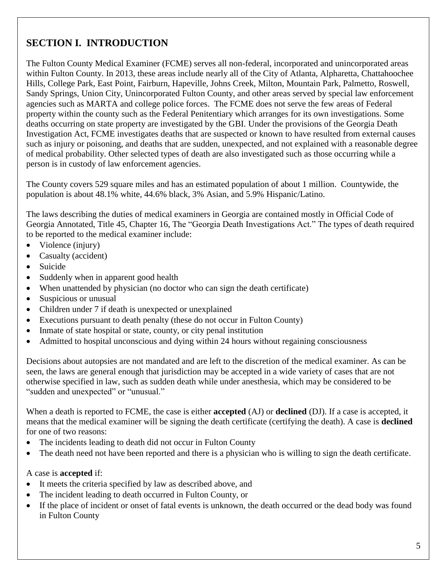# **SECTION I. INTRODUCTION**

The Fulton County Medical Examiner (FCME) serves all non-federal, incorporated and unincorporated areas within Fulton County. In 2013, these areas include nearly all of the City of Atlanta, Alpharetta, Chattahoochee Hills, College Park, East Point, Fairburn, Hapeville, Johns Creek, Milton, Mountain Park, Palmetto, Roswell, Sandy Springs, Union City, Unincorporated Fulton County, and other areas served by special law enforcement agencies such as MARTA and college police forces. The FCME does not serve the few areas of Federal property within the county such as the Federal Penitentiary which arranges for its own investigations. Some deaths occurring on state property are investigated by the GBI. Under the provisions of the Georgia Death Investigation Act, FCME investigates deaths that are suspected or known to have resulted from external causes such as injury or poisoning, and deaths that are sudden, unexpected, and not explained with a reasonable degree of medical probability. Other selected types of death are also investigated such as those occurring while a person is in custody of law enforcement agencies.

The County covers 529 square miles and has an estimated population of about 1 million. Countywide, the population is about 48.1% white, 44.6% black, 3% Asian, and 5.9% Hispanic/Latino.

The laws describing the duties of medical examiners in Georgia are contained mostly in Official Code of Georgia Annotated, Title 45, Chapter 16, The "Georgia Death Investigations Act." The types of death required to be reported to the medical examiner include:

- Violence (injury)
- Casualty (accident)
- Suicide
- Suddenly when in apparent good health
- When unattended by physician (no doctor who can sign the death certificate)
- Suspicious or unusual
- Children under 7 if death is unexpected or unexplained
- Executions pursuant to death penalty (these do not occur in Fulton County)
- Inmate of state hospital or state, county, or city penal institution
- Admitted to hospital unconscious and dying within 24 hours without regaining consciousness

Decisions about autopsies are not mandated and are left to the discretion of the medical examiner. As can be seen, the laws are general enough that jurisdiction may be accepted in a wide variety of cases that are not otherwise specified in law, such as sudden death while under anesthesia, which may be considered to be "sudden and unexpected" or "unusual."

When a death is reported to FCME, the case is either **accepted** (AJ) or **declined** (DJ). If a case is accepted, it means that the medical examiner will be signing the death certificate (certifying the death). A case is **declined**  for one of two reasons:

- The incidents leading to death did not occur in Fulton County
- The death need not have been reported and there is a physician who is willing to sign the death certificate.

A case is **accepted** if:

- It meets the criteria specified by law as described above, and
- The incident leading to death occurred in Fulton County, or
- If the place of incident or onset of fatal events is unknown, the death occurred or the dead body was found in Fulton County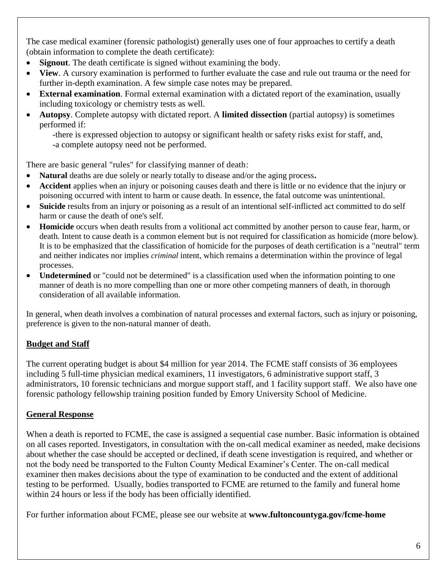The case medical examiner (forensic pathologist) generally uses one of four approaches to certify a death (obtain information to complete the death certificate):

- **Signout**. The death certificate is signed without examining the body.
- **View**. A cursory examination is performed to further evaluate the case and rule out trauma or the need for further in-depth examination. A few simple case notes may be prepared.
- **External examination**. Formal external examination with a dictated report of the examination, usually including toxicology or chemistry tests as well.
- **Autopsy**. Complete autopsy with dictated report. A **limited dissection** (partial autopsy) is sometimes performed if:

-there is expressed objection to autopsy or significant health or safety risks exist for staff, and, -a complete autopsy need not be performed.

There are basic general "rules" for classifying manner of death:

- **Natural** deaths are due solely or nearly totally to disease and/or the aging process**.**
- **Accident** applies when an injury or poisoning causes death and there is little or no evidence that the injury or poisoning occurred with intent to harm or cause death. In essence, the fatal outcome was unintentional.
- **Suicide** results from an injury or poisoning as a result of an intentional self-inflicted act committed to do self harm or cause the death of one's self.
- **Homicide** occurs when death results from a volitional act committed by another person to cause fear, harm, or death. Intent to cause death is a common element but is not required for classification as homicide (more below). It is to be emphasized that the classification of homicide for the purposes of death certification is a "neutral" term and neither indicates nor implies *criminal* intent, which remains a determination within the province of legal processes.
- **Undetermined** or "could not be determined" is a classification used when the information pointing to one manner of death is no more compelling than one or more other competing manners of death, in thorough consideration of all available information.

In general, when death involves a combination of natural processes and external factors, such as injury or poisoning, preference is given to the non-natural manner of death.

#### **Budget and Staff**

The current operating budget is about \$4 million for year 2014. The FCME staff consists of 36 employees including 5 full-time physician medical examiners, 11 investigators, 6 administrative support staff, 3 administrators, 10 forensic technicians and morgue support staff, and 1 facility support staff. We also have one forensic pathology fellowship training position funded by Emory University School of Medicine.

#### **General Response**

When a death is reported to FCME, the case is assigned a sequential case number. Basic information is obtained on all cases reported. Investigators, in consultation with the on-call medical examiner as needed, make decisions about whether the case should be accepted or declined, if death scene investigation is required, and whether or not the body need be transported to the Fulton County Medical Examiner's Center. The on-call medical examiner then makes decisions about the type of examination to be conducted and the extent of additional testing to be performed. Usually, bodies transported to FCME are returned to the family and funeral home within 24 hours or less if the body has been officially identified.

For further information about FCME, please see our website at **www.fultoncountyga.gov/fcme-home**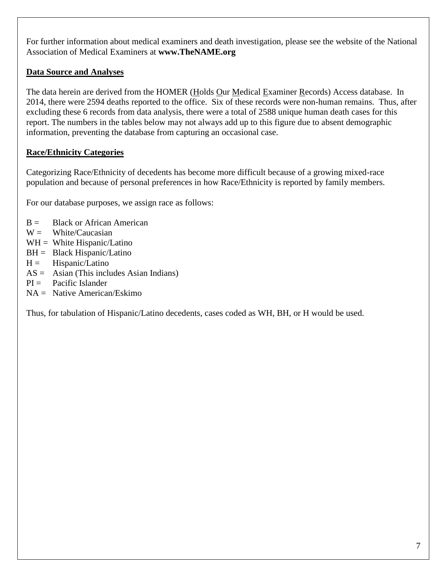For further information about medical examiners and death investigation, please see the website of the National Association of Medical Examiners at **www.TheNAME.org**

#### **Data Source and Analyses**

The data herein are derived from the HOMER (Holds Our Medical Examiner Records) Access database. In 2014, there were 2594 deaths reported to the office. Six of these records were non-human remains. Thus, after excluding these 6 records from data analysis, there were a total of 2588 unique human death cases for this report. The numbers in the tables below may not always add up to this figure due to absent demographic information, preventing the database from capturing an occasional case.

### **Race/Ethnicity Categories**

Categorizing Race/Ethnicity of decedents has become more difficult because of a growing mixed-race population and because of personal preferences in how Race/Ethnicity is reported by family members.

For our database purposes, we assign race as follows:

- $B =$  Black or African American
- $W =$  White/Caucasian
- $WH = White Hispanic/Latino$
- $BH = Black Hispanic/Latino$
- $H =$  Hispanic/Latino
- $AS =$  Asian (This includes Asian Indians)
- $PI =$  Pacific Islander
- $NA =$  Native American/Eskimo

Thus, for tabulation of Hispanic/Latino decedents, cases coded as WH, BH, or H would be used.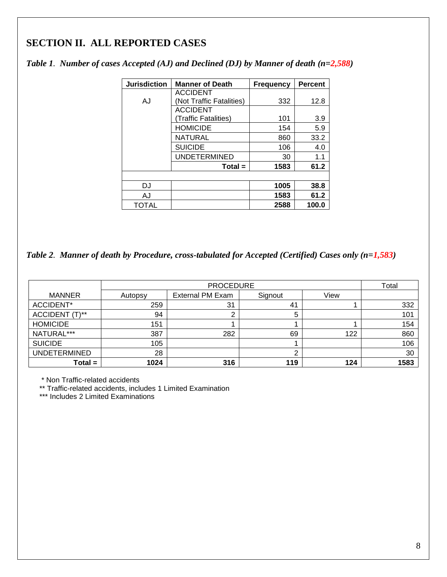## **SECTION II. ALL REPORTED CASES**

| <b>Jurisdiction</b> | <b>Manner of Death</b>   | <b>Frequency</b> | <b>Percent</b> |
|---------------------|--------------------------|------------------|----------------|
|                     | <b>ACCIDENT</b>          |                  |                |
| A.I                 | (Not Traffic Fatalities) | 332              | 12.8           |
|                     | <b>ACCIDENT</b>          |                  |                |
|                     | Traffic Fatalities)      | 101              | 3.9            |
|                     | <b>HOMICIDE</b>          | 154              | 5.9            |
|                     | NATURAL                  | 860              | 33.2           |
|                     | <b>SUICIDE</b>           | 106              | 4.0            |
|                     | <b>UNDETERMINED</b>      | 30               | 1.1            |
|                     | $Total =$                | 1583             | 61.2           |
|                     |                          |                  |                |
| DJ                  |                          | 1005             | 38.8           |
| AJ                  |                          | 1583             | 61.2           |
| <b>TOTAL</b>        |                          | 2588             | 100.0          |

*Table 1. Number of cases Accepted (AJ) and Declined (DJ) by Manner of death (n=2,588)*

*Table 2. Manner of death by Procedure, cross-tabulated for Accepted (Certified) Cases only (n=1,583)*

|                     |         | Total            |         |      |      |
|---------------------|---------|------------------|---------|------|------|
| <b>MANNER</b>       | Autopsy | External PM Exam | Signout | View |      |
| ACCIDENT*           | 259     | 31               | 41      |      | 332  |
| ACCIDENT (T)**      | 94      |                  | 5       |      | 101  |
| <b>HOMICIDE</b>     | 151     |                  |         |      | 154  |
| NATURAL***          | 387     | 282              | 69      | 122  | 860  |
| <b>SUICIDE</b>      | 105     |                  |         |      | 106  |
| <b>UNDETERMINED</b> | 28      |                  |         |      | 30   |
| $Total =$           | 1024    | 316              | 119     | 124  | 1583 |

\* Non Traffic-related accidents

\*\* Traffic-related accidents, includes 1 Limited Examination

\*\*\* Includes 2 Limited Examinations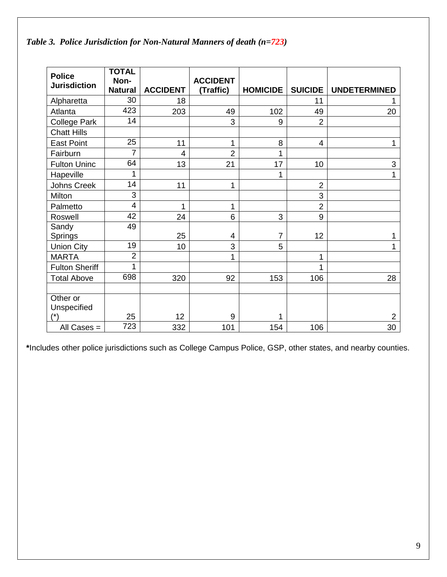*Table 3. Police Jurisdiction for Non-Natural Manners of death (n=723)*

| <b>Police</b>         | <b>TOTAL</b><br>Non- |                 | <b>ACCIDENT</b> |                 |                |                     |
|-----------------------|----------------------|-----------------|-----------------|-----------------|----------------|---------------------|
| <b>Jurisdiction</b>   | <b>Natural</b>       | <b>ACCIDENT</b> | (Traffic)       | <b>HOMICIDE</b> | <b>SUICIDE</b> | <b>UNDETERMINED</b> |
| Alpharetta            | 30                   | 18              |                 |                 | 11             |                     |
| Atlanta               | 423                  | 203             | 49              | 102             | 49             | 20                  |
| <b>College Park</b>   | 14                   |                 | 3               | 9               | $\overline{2}$ |                     |
| <b>Chatt Hills</b>    |                      |                 |                 |                 |                |                     |
| <b>East Point</b>     | 25                   | 11              | 1               | 8               | 4              | 1                   |
| Fairburn              | 7                    | 4               | $\overline{2}$  | 1               |                |                     |
| <b>Fulton Uninc</b>   | 64                   | 13              | 21              | 17              | 10             | 3                   |
| Hapeville             | 1                    |                 |                 | 1               |                | 1                   |
| Johns Creek           | 14                   | 11              | 1               |                 | $\overline{2}$ |                     |
| Milton                | 3                    |                 |                 |                 | 3              |                     |
| Palmetto              | 4                    | 1               | 1               |                 | $\overline{2}$ |                     |
| Roswell               | $\overline{42}$      | 24              | 6               | 3               | 9              |                     |
| Sandy                 | 49                   |                 |                 |                 |                |                     |
| Springs               |                      | 25              | 4               | $\overline{7}$  | 12             |                     |
| <b>Union City</b>     | 19                   | 10              | 3               | 5               |                | 1                   |
| <b>MARTA</b>          | $\overline{2}$       |                 | 1               |                 | 1              |                     |
| <b>Fulton Sheriff</b> | 1                    |                 |                 |                 | 1              |                     |
| <b>Total Above</b>    | 698                  | 320             | 92              | 153             | 106            | 28                  |
|                       |                      |                 |                 |                 |                |                     |
| Other or              |                      |                 |                 |                 |                |                     |
| Unspecified           |                      |                 |                 |                 |                |                     |
| $(*)$                 | 25                   | 12              | 9               | 1               |                | 2                   |
| All Cases $=$         | 723                  | 332             | 101             | 154             | 106            | 30                  |

**\***Includes other police jurisdictions such as College Campus Police, GSP, other states, and nearby counties.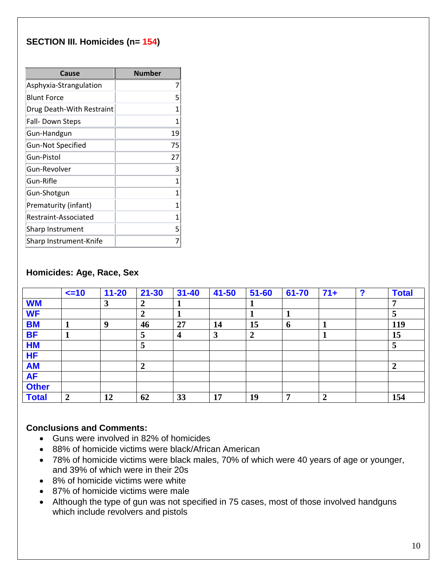### **SECTION III. Homicides (n= 154)**

| Cause                     | <b>Number</b> |
|---------------------------|---------------|
| Asphyxia-Strangulation    | 7             |
| <b>Blunt Force</b>        | 5             |
| Drug Death-With Restraint | 1             |
| Fall-Down Steps           | 1             |
| Gun-Handgun               | 19            |
| Gun-Not Specified         | 75            |
| Gun-Pistol                | 27            |
| Gun-Revolver              | 3             |
| Gun-Rifle                 | 1             |
| Gun-Shotgun               | 1             |
| Prematurity (infant)      | 1             |
| Restraint-Associated      | 1             |
| Sharp Instrument          | 5             |
| Sharp Instrument-Knife    |               |

#### **Homicides: Age, Race, Sex**

|              | $\leq$ =10     | $11 - 20$ | $21 - 30$        | $31 - 40$        | $41 - 50$ | $51 - 60$      | 61-70 | $71+$          | <u>ົ</u> | <b>Total</b>     |
|--------------|----------------|-----------|------------------|------------------|-----------|----------------|-------|----------------|----------|------------------|
| <b>WM</b>    |                | 3         | $\boldsymbol{2}$ |                  |           |                |       |                |          |                  |
| <b>WF</b>    |                |           | $\boldsymbol{2}$ |                  |           |                |       |                |          | 5                |
| <b>BM</b>    |                | 9         | 46               | 27               | 14        | 15             | 6     |                |          | 119              |
| <b>BF</b>    | л              |           | 5                | $\boldsymbol{4}$ | 3         | $\overline{2}$ |       |                |          | 15               |
| <b>HM</b>    |                |           | 5                |                  |           |                |       |                |          | 5                |
| <b>HF</b>    |                |           |                  |                  |           |                |       |                |          |                  |
| <b>AM</b>    |                |           | $\overline{2}$   |                  |           |                |       |                |          | $\boldsymbol{2}$ |
| <b>AF</b>    |                |           |                  |                  |           |                |       |                |          |                  |
| <b>Other</b> |                |           |                  |                  |           |                |       |                |          |                  |
| <b>Total</b> | $\overline{2}$ | 12        | 62               | 33               | 17        | 19             | 7     | $\overline{2}$ |          | 154              |

- Guns were involved in 82% of homicides
- 88% of homicide victims were black/African American
- 78% of homicide victims were black males, 70% of which were 40 years of age or younger, and 39% of which were in their 20s
- 8% of homicide victims were white
- 87% of homicide victims were male
- Although the type of gun was not specified in 75 cases, most of those involved handguns which include revolvers and pistols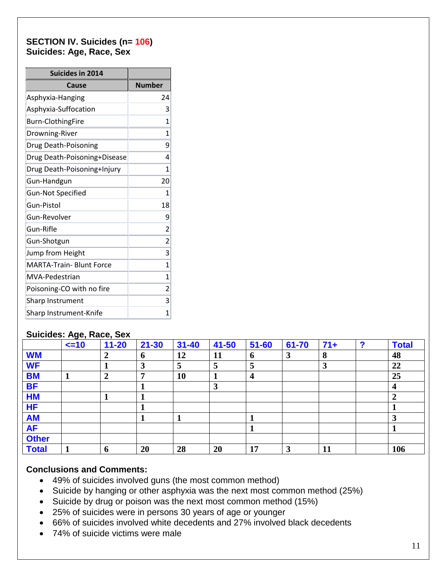#### **SECTION IV. Suicides (n= 106) Suicides: Age, Race, Sex**

| <b>Suicides in 2014</b>         |                |
|---------------------------------|----------------|
| Cause                           | <b>Number</b>  |
| Asphyxia-Hanging                | 24             |
| Asphyxia-Suffocation            | 3              |
| <b>Burn-ClothingFire</b>        | 1              |
| Drowning-River                  | 1              |
| Drug Death-Poisoning            | 9              |
| Drug Death-Poisoning+Disease    | 4              |
| Drug Death-Poisoning+Injury     | 1              |
| Gun-Handgun                     | 20             |
| <b>Gun-Not Specified</b>        | 1              |
| Gun-Pistol                      | 18             |
| Gun-Revolver                    | 9              |
| Gun-Rifle                       | 2              |
| Gun-Shotgun                     | $\overline{2}$ |
| Jump from Height                | 3              |
| <b>MARTA-Train- Blunt Force</b> | 1              |
| MVA-Pedestrian                  | 1              |
| Poisoning-CO with no fire       | 2              |
| <b>Sharp Instrument</b>         | 3              |
| Sharp Instrument-Knife          | 1              |

#### **Suicides: Age, Race, Sex**

|              | $\leq$ =10 | $11 - 20$      | $21 - 30$   | $31 - 40$ | 41-50 | $51 - 60$        | 61-70 | $71+$     | っ | <b>Total</b>     |
|--------------|------------|----------------|-------------|-----------|-------|------------------|-------|-----------|---|------------------|
| <b>WM</b>    |            | 7              | $\mathbf b$ | 12        | 11    | $\boldsymbol{6}$ | 3     | 8         |   | 48               |
| <b>WF</b>    |            |                | 3           | 5         | 5     | 5                |       | 3         |   | 22               |
| <b>BM</b>    |            | $\overline{2}$ | 7           | 10        |       | $\boldsymbol{4}$ |       |           |   | 25               |
| <b>BF</b>    |            |                |             |           | 3     |                  |       |           |   | $\boldsymbol{4}$ |
| <b>HM</b>    |            |                |             |           |       |                  |       |           |   | $\mathbf{2}$     |
| <b>HF</b>    |            |                |             |           |       |                  |       |           |   |                  |
| <b>AM</b>    |            |                |             |           |       |                  |       |           |   | 3                |
| <b>AF</b>    |            |                |             |           |       |                  |       |           |   |                  |
| <b>Other</b> |            |                |             |           |       |                  |       |           |   |                  |
| <b>Total</b> |            | 6              | 20          | 28        | 20    | 17               | 3     | <b>11</b> |   | 106              |

- 49% of suicides involved guns (the most common method)
- Suicide by hanging or other asphyxia was the next most common method (25%)
- Suicide by drug or poison was the next most common method (15%)
- 25% of suicides were in persons 30 years of age or younger
- 66% of suicides involved white decedents and 27% involved black decedents
- 74% of suicide victims were male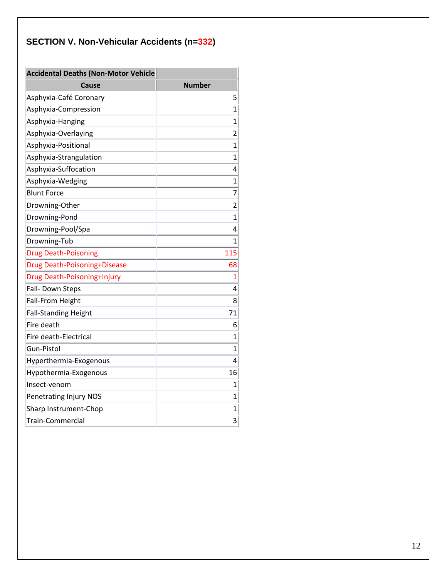# **SECTION V. Non-Vehicular Accidents (n=332)**

| Accidental Deaths (Non-Motor Vehicle |                |
|--------------------------------------|----------------|
| Cause                                | <b>Number</b>  |
| Asphyxia-Café Coronary               | 5              |
| Asphyxia-Compression                 | $\mathbf{1}$   |
| Asphyxia-Hanging                     | $\mathbf 1$    |
| Asphyxia-Overlaying                  | 2              |
| Asphyxia-Positional                  | $\mathbf{1}$   |
| Asphyxia-Strangulation               | $\mathbf{1}$   |
| Asphyxia-Suffocation                 | 4              |
| Asphyxia-Wedging                     | 1              |
| <b>Blunt Force</b>                   | 7              |
| Drowning-Other                       | $\overline{2}$ |
| Drowning-Pond                        | $\mathbf 1$    |
| Drowning-Pool/Spa                    | 4              |
| Drowning-Tub                         | 1              |
| <b>Drug Death-Poisoning</b>          | 115            |
| Drug Death-Poisoning+Disease         | 68             |
| Drug Death-Poisoning+Injury          | $\overline{1}$ |
| Fall- Down Steps                     | 4              |
| <b>Fall-From Height</b>              | 8              |
| <b>Fall-Standing Height</b>          | 71             |
| Fire death                           | 6              |
| Fire death-Electrical                | $\mathbf 1$    |
| Gun-Pistol                           | $\mathbf 1$    |
| Hyperthermia-Exogenous               | 4              |
| Hypothermia-Exogenous                | 16             |
| Insect-venom                         | $\mathbf 1$    |
| Penetrating Injury NOS               | 1              |
| Sharp Instrument-Chop                | 1              |
| Train-Commercial                     | 3              |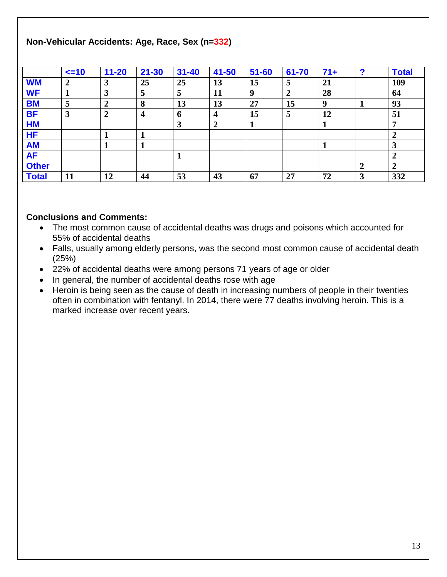#### **Non-Vehicular Accidents: Age, Race, Sex (n=332)**

|              | $\leq$ =10              | $11 - 20$ | $21 - 30$        | $31 - 40$    | 41-50            | $51 - 60$ | 61-70 | $71+$ | $\mathbf{\Omega}$ | <b>Total</b> |
|--------------|-------------------------|-----------|------------------|--------------|------------------|-----------|-------|-------|-------------------|--------------|
| <b>WM</b>    | $\overline{2}$          | 3         | 25               | 25           | 13               | 15        | 5     | 21    |                   | 109          |
| <b>WF</b>    |                         | 3         | 5                | $\mathbf{z}$ | 11               | 9         | 2     | 28    |                   | 64           |
| <b>BM</b>    | 5                       | 2         | 8                | 13           | 13               | 27        | 15    | 9     |                   | 93           |
| <b>BF</b>    | $\overline{\mathbf{3}}$ | 2         | $\boldsymbol{4}$ | $\mathbf b$  | $\boldsymbol{4}$ | 15        | 5     | 12    |                   | 51           |
| <b>HM</b>    |                         |           |                  | 3            | $\overline{2}$   |           |       |       |                   |              |
| <b>HF</b>    |                         |           |                  |              |                  |           |       |       |                   |              |
| <b>AM</b>    |                         |           |                  |              |                  |           |       |       |                   | 3            |
| <b>AF</b>    |                         |           |                  |              |                  |           |       |       |                   |              |
| <b>Other</b> |                         |           |                  |              |                  |           |       |       | $\gamma$          | $\mathbf{2}$ |
| <b>Total</b> | 11                      | 12        | 44               | 53           | 43               | 67        | 27    | 72    | 2                 | 332          |

- The most common cause of accidental deaths was drugs and poisons which accounted for 55% of accidental deaths
- Falls, usually among elderly persons, was the second most common cause of accidental death (25%)
- 22% of accidental deaths were among persons 71 years of age or older
- In general, the number of accidental deaths rose with age
- Heroin is being seen as the cause of death in increasing numbers of people in their twenties often in combination with fentanyl. In 2014, there were 77 deaths involving heroin. This is a marked increase over recent years.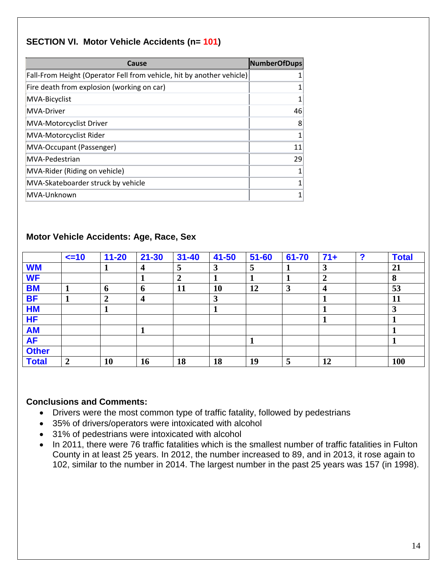## **SECTION VI. Motor Vehicle Accidents (n= 101)**

| Cause                                                                 | <b>NumberOfDups</b> |
|-----------------------------------------------------------------------|---------------------|
| Fall-From Height (Operator Fell from vehicle, hit by another vehicle) |                     |
| Fire death from explosion (working on car)                            | 1                   |
| MVA-Bicyclist                                                         | 1                   |
| MVA-Driver                                                            | 46                  |
| MVA-Motorcyclist Driver                                               | 8                   |
| MVA-Motorcyclist Rider                                                | 1                   |
| MVA-Occupant (Passenger)                                              | 11                  |
| MVA-Pedestrian                                                        | 29                  |
| MVA-Rider (Riding on vehicle)                                         | 1                   |
| MVA-Skateboarder struck by vehicle                                    | 1                   |
| MVA-Unknown                                                           |                     |

#### **Motor Vehicle Accidents: Age, Race, Sex**

|              | $\leq$ -10       | $11 - 20$ | $21 - 30$        | $31 - 40$      | 41-50 | $51 - 60$ | 61-70 | $71+$            | ◠ | <b>Total</b> |
|--------------|------------------|-----------|------------------|----------------|-------|-----------|-------|------------------|---|--------------|
| <b>WM</b>    |                  |           | 4                | $\overline{5}$ | 3     | 5         | л     | 3                |   | 21           |
| <b>WF</b>    |                  |           |                  | 2              |       |           |       | $\overline{2}$   |   | 8            |
| <b>BM</b>    |                  | 6         | 6                | 11             | 10    | 12        | 3     | $\boldsymbol{4}$ |   | 53           |
| <b>BF</b>    |                  | 2         | $\boldsymbol{4}$ |                | 3     |           |       | - 1              |   | 11           |
| <b>HM</b>    |                  |           |                  |                |       |           |       |                  |   | 3            |
| <b>HF</b>    |                  |           |                  |                |       |           |       |                  |   |              |
| <b>AM</b>    |                  |           |                  |                |       |           |       |                  |   |              |
| <b>AF</b>    |                  |           |                  |                |       | 1         |       |                  |   |              |
| <b>Other</b> |                  |           |                  |                |       |           |       |                  |   |              |
| <b>Total</b> | $\boldsymbol{2}$ | 10        | 16               | 18             | 18    | 19        | 5     | 12               |   | 100          |

- Drivers were the most common type of traffic fatality, followed by pedestrians
- 35% of drivers/operators were intoxicated with alcohol
- 31% of pedestrians were intoxicated with alcohol
- In 2011, there were 76 traffic fatalities which is the smallest number of traffic fatalities in Fulton County in at least 25 years. In 2012, the number increased to 89, and in 2013, it rose again to 102, similar to the number in 2014. The largest number in the past 25 years was 157 (in 1998).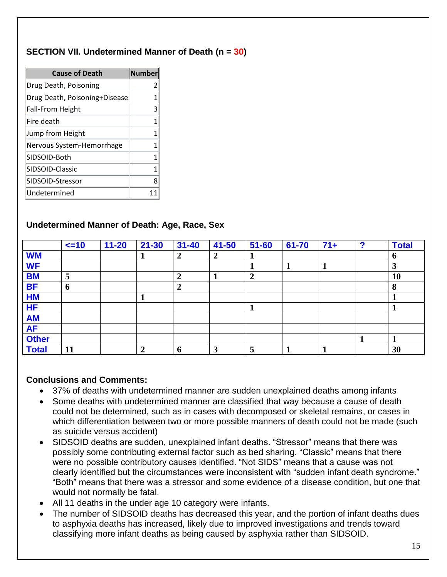### **SECTION VII. Undetermined Manner of Death (n = 30)**

| <b>Cause of Death</b>         | <b>Number</b> |
|-------------------------------|---------------|
| Drug Death, Poisoning         | 2             |
| Drug Death, Poisoning+Disease | 1             |
| <b>Fall-From Height</b>       | 3             |
| Fire death                    | 1             |
| Jump from Height              | 1             |
| Nervous System-Hemorrhage     | 1             |
| SIDSOID-Both                  | 1             |
| SIDSOID-Classic               | 1             |
| SIDSOID-Stressor              | ጸ             |
| Undetermined                  | 11            |

#### **Undetermined Manner of Death: Age, Race, Sex**

|              | $\leq$ 10 | $11 - 20$ | $21 - 30$        | $31 - 40$        | 41-50          | $51 - 60$      | 61-70 | $71+$ | っ | <b>Total</b> |
|--------------|-----------|-----------|------------------|------------------|----------------|----------------|-------|-------|---|--------------|
| <b>WM</b>    |           |           |                  | $\boldsymbol{2}$ | $\overline{2}$ | л              |       |       |   | $\mathbf b$  |
| <b>WF</b>    |           |           |                  |                  |                |                |       |       |   | 3            |
| <b>BM</b>    | 5         |           |                  | 2                |                | $\overline{2}$ |       |       |   | 10           |
| <b>BF</b>    | 6         |           |                  | $\boldsymbol{2}$ |                |                |       |       |   | 8            |
| <b>HM</b>    |           |           |                  |                  |                |                |       |       |   |              |
| <b>HF</b>    |           |           |                  |                  |                | л              |       |       |   |              |
| <b>AM</b>    |           |           |                  |                  |                |                |       |       |   |              |
| <b>AF</b>    |           |           |                  |                  |                |                |       |       |   |              |
| <b>Other</b> |           |           |                  |                  |                |                |       |       |   |              |
| <b>Total</b> | 11        |           | $\boldsymbol{2}$ | h                | 3              | 5              |       |       |   | 30           |

- 37% of deaths with undetermined manner are sudden unexplained deaths among infants
- Some deaths with undetermined manner are classified that way because a cause of death could not be determined, such as in cases with decomposed or skeletal remains, or cases in which differentiation between two or more possible manners of death could not be made (such as suicide versus accident)
- SIDSOID deaths are sudden, unexplained infant deaths. "Stressor" means that there was possibly some contributing external factor such as bed sharing. "Classic" means that there were no possible contributory causes identified. "Not SIDS" means that a cause was not clearly identified but the circumstances were inconsistent with "sudden infant death syndrome." "Both" means that there was a stressor and some evidence of a disease condition, but one that would not normally be fatal.
- All 11 deaths in the under age 10 category were infants.
- The number of SIDSOID deaths has decreased this year, and the portion of infant deaths dues to asphyxia deaths has increased, likely due to improved investigations and trends toward classifying more infant deaths as being caused by asphyxia rather than SIDSOID.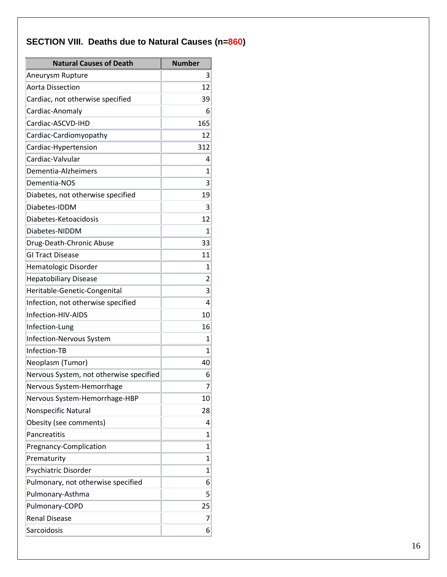# **SECTION VIII. Deaths due to Natural Causes (n=860)**

| <b>Natural Causes of Death</b>          | <b>Number</b>  |
|-----------------------------------------|----------------|
| Aneurysm Rupture                        | $\overline{3}$ |
| <b>Aorta Dissection</b>                 | 12             |
| Cardiac, not otherwise specified        | 39             |
| Cardiac-Anomaly                         | 6              |
| Cardiac-ASCVD-IHD                       | 165            |
| Cardiac-Cardiomyopathy                  | 12             |
| Cardiac-Hypertension                    | 312            |
| Cardiac-Valvular                        | 4              |
| Dementia-Alzheimers                     | 1              |
| Dementia-NOS                            | 3              |
| Diabetes, not otherwise specified       | 19             |
| Diabetes-IDDM                           | 3              |
| Diabetes-Ketoacidosis                   | 12             |
| Diabetes-NIDDM                          | 1              |
| Drug-Death-Chronic Abuse                | 33             |
| <b>GI Tract Disease</b>                 | 11             |
| Hematologic Disorder                    | $\mathbf{1}$   |
| <b>Hepatobiliary Disease</b>            | 2              |
| Heritable-Genetic-Congenital            | 3              |
| Infection, not otherwise specified      | 4              |
| Infection-HIV-AIDS                      | 10             |
| Infection-Lung                          | 16             |
| Infection-Nervous System                | 1              |
| Infection-TB                            | 1              |
| Neoplasm (Tumor)                        | 40             |
| Nervous System, not otherwise specified | 6              |
| Nervous System-Hemorrhage               | 7              |
| Nervous System-Hemorrhage-HBP           | 10             |
| Nonspecific Natural                     | 28             |
| Obesity (see comments)                  | 4              |
| Pancreatitis                            | 1              |
| Pregnancy-Complication                  | 1              |
| Prematurity                             | 1              |
| Psychiatric Disorder                    | 1              |
| Pulmonary, not otherwise specified      | 6              |
| Pulmonary-Asthma                        | 5              |
| Pulmonary-COPD                          | 25             |
| <b>Renal Disease</b>                    | 7              |
| Sarcoidosis                             | 6              |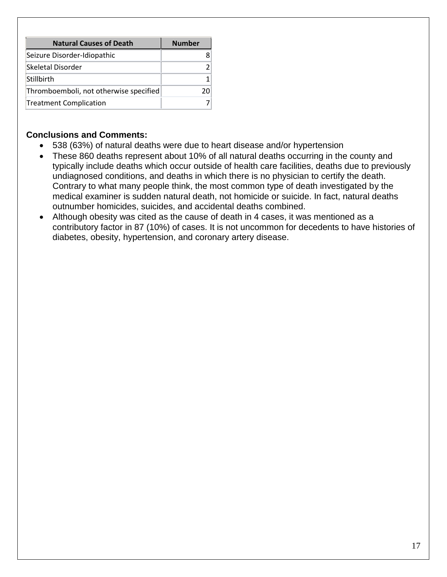| <b>Natural Causes of Death</b>         | <b>Number</b> |
|----------------------------------------|---------------|
| Seizure Disorder-Idiopathic            |               |
| Skeletal Disorder                      |               |
| Stillbirth                             |               |
| Thromboemboli, not otherwise specified |               |
| Treatment Complication                 |               |

- 538 (63%) of natural deaths were due to heart disease and/or hypertension
- These 860 deaths represent about 10% of all natural deaths occurring in the county and typically include deaths which occur outside of health care facilities, deaths due to previously undiagnosed conditions, and deaths in which there is no physician to certify the death. Contrary to what many people think, the most common type of death investigated by the medical examiner is sudden natural death, not homicide or suicide. In fact, natural deaths outnumber homicides, suicides, and accidental deaths combined.
- Although obesity was cited as the cause of death in 4 cases, it was mentioned as a contributory factor in 87 (10%) of cases. It is not uncommon for decedents to have histories of diabetes, obesity, hypertension, and coronary artery disease.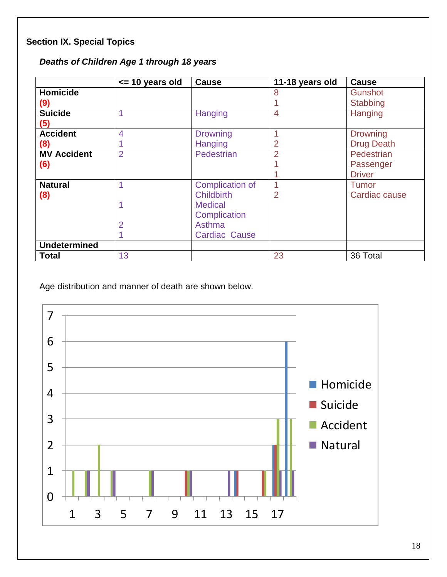## **Section IX. Special Topics**

| Deaths of Children Age 1 through 18 years |  |  |  |  |
|-------------------------------------------|--|--|--|--|
|-------------------------------------------|--|--|--|--|

|                     | $\le$ 10 years old | <b>Cause</b>           | 11-18 years old | <b>Cause</b>      |
|---------------------|--------------------|------------------------|-----------------|-------------------|
| <b>Homicide</b>     |                    |                        | 8               | <b>Gunshot</b>    |
| (9)                 |                    |                        |                 | Stabbing          |
| <b>Suicide</b>      |                    | Hanging                | $\overline{4}$  | Hanging           |
| (5)                 |                    |                        |                 |                   |
| <b>Accident</b>     | 4                  | <b>Drowning</b>        | 1               | <b>Drowning</b>   |
| (8)                 |                    | <b>Hanging</b>         | 2               | <b>Drug Death</b> |
| <b>MV Accident</b>  | $\overline{2}$     | Pedestrian             | $\overline{2}$  | Pedestrian        |
| (6)                 |                    |                        |                 | Passenger         |
|                     |                    |                        |                 | <b>Driver</b>     |
| <b>Natural</b>      | 1                  | <b>Complication of</b> | 1               | Tumor             |
| (8)                 |                    | <b>Childbirth</b>      | $\overline{2}$  | Cardiac cause     |
|                     |                    | <b>Medical</b>         |                 |                   |
|                     |                    | Complication           |                 |                   |
|                     | $\overline{2}$     | Asthma                 |                 |                   |
|                     |                    | <b>Cardiac Cause</b>   |                 |                   |
| <b>Undetermined</b> |                    |                        |                 |                   |
| <b>Total</b>        | 13                 |                        | 23              | 36 Total          |

Age distribution and manner of death are shown below.

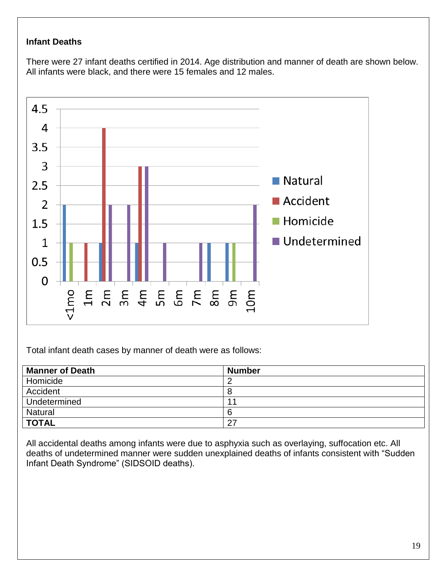#### **Infant Deaths**

There were 27 infant deaths certified in 2014. Age distribution and manner of death are shown below. All infants were black, and there were 15 females and 12 males.



Total infant death cases by manner of death were as follows:

| <b>Manner of Death</b> | <b>Number</b> |
|------------------------|---------------|
| Homicide               |               |
| Accident               | 8             |
| Undetermined           | $-1$          |
| Natural                | 6             |
| <b>TOTAL</b>           | 27            |

All accidental deaths among infants were due to asphyxia such as overlaying, suffocation etc. All deaths of undetermined manner were sudden unexplained deaths of infants consistent with "Sudden Infant Death Syndrome" (SIDSOID deaths).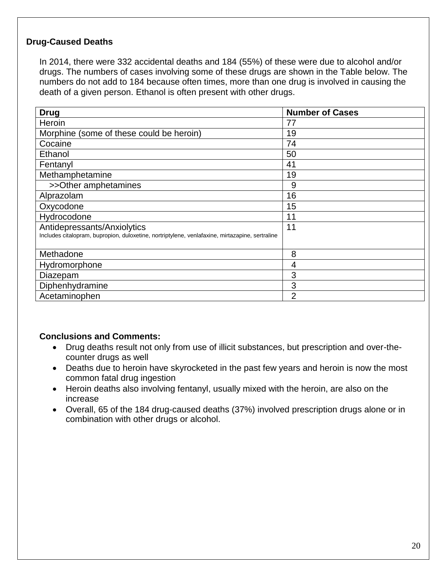### **Drug-Caused Deaths**

In 2014, there were 332 accidental deaths and 184 (55%) of these were due to alcohol and/or drugs. The numbers of cases involving some of these drugs are shown in the Table below. The numbers do not add to 184 because often times, more than one drug is involved in causing the death of a given person. Ethanol is often present with other drugs.

| <b>Drug</b>                                                                                                                    | <b>Number of Cases</b> |
|--------------------------------------------------------------------------------------------------------------------------------|------------------------|
| Heroin                                                                                                                         | 77                     |
| Morphine (some of these could be heroin)                                                                                       | 19                     |
| Cocaine                                                                                                                        | 74                     |
| Ethanol                                                                                                                        | 50                     |
| Fentanyl                                                                                                                       | 41                     |
| Methamphetamine                                                                                                                | 19                     |
| >>Other amphetamines                                                                                                           | 9                      |
| Alprazolam                                                                                                                     | 16                     |
| Oxycodone                                                                                                                      | 15                     |
| Hydrocodone                                                                                                                    | 11                     |
| Antidepressants/Anxiolytics<br>Includes citalopram, bupropion, duloxetine, nortriptylene, venlafaxine, mirtazapine, sertraline | 11                     |
| Methadone                                                                                                                      | 8                      |
| Hydromorphone                                                                                                                  | 4                      |
| Diazepam                                                                                                                       | 3                      |
| Diphenhydramine                                                                                                                | 3                      |
| Acetaminophen                                                                                                                  | 2                      |

- Drug deaths result not only from use of illicit substances, but prescription and over-thecounter drugs as well
- Deaths due to heroin have skyrocketed in the past few years and heroin is now the most common fatal drug ingestion
- Heroin deaths also involving fentanyl, usually mixed with the heroin, are also on the increase
- Overall, 65 of the 184 drug-caused deaths (37%) involved prescription drugs alone or in combination with other drugs or alcohol.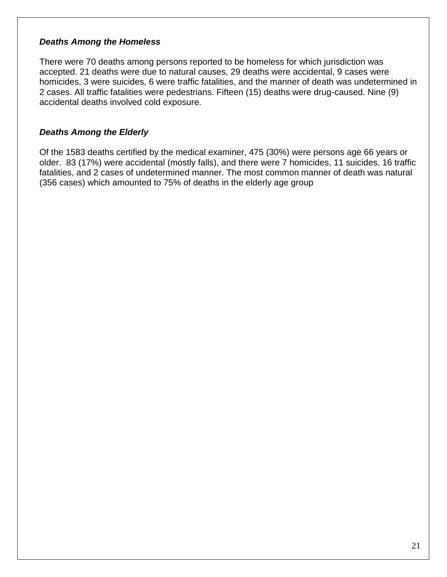#### *Deaths Among the Homeless*

There were 70 deaths among persons reported to be homeless for which jurisdiction was accepted. 21 deaths were due to natural causes, 29 deaths were accidental, 9 cases were homicides, 3 were suicides, 6 were traffic fatalities, and the manner of death was undetermined in 2 cases. All traffic fatalities were pedestrians. Fifteen (15) deaths were drug-caused. Nine (9) accidental deaths involved cold exposure.

#### *Deaths Among the Elderly*

Of the 1583 deaths certified by the medical examiner, 475 (30%) were persons age 66 years or older. 83 (17%) were accidental (mostly falls), and there were 7 homicides, 11 suicides, 16 traffic fatalities, and 2 cases of undetermined manner. The most common manner of death was natural (356 cases) which amounted to 75% of deaths in the elderly age group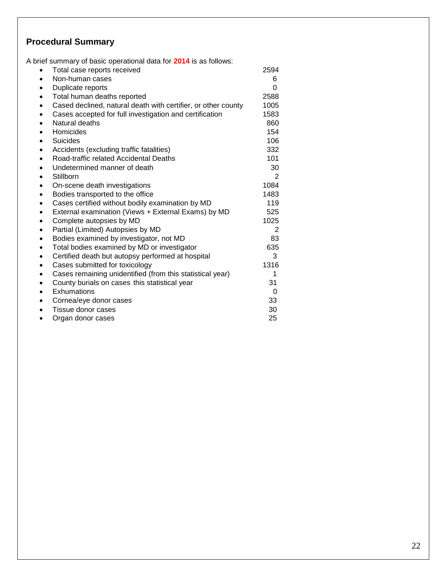#### **Procedural Summary**

A brief summary of basic operational data for **2014** is as follows: Total case reports received 2594 Non-human cases 6 • Duplicate reports 0 Total human deaths reported 2588 Cased declined, natural death with certifier, or other county 1005 Cases accepted for full investigation and certification 1583 Natural deaths 860 Homicides 154 **Suicides 106** Suicides **106** Accidents (excluding traffic fatalities) 332 Road-traffic related Accidental Deaths 101 Undetermined manner of death 30 ● Stillborn 2 • On-scene death investigations **1084** Bodies transported to the office 1483 Cases certified without bodily examination by MD 119 • External examination (Views + External Exams) by MD 525 Complete autopsies by MD 1025 Partial (Limited) Autopsies by MD 2 • Bodies examined by investigator, not MD 83 Total bodies examined by MD or investigator 635 Certified death but autopsy performed at hospital 3 Cases submitted for toxicology example that the 1316 Cases remaining unidentified (from this statistical year) 1 County burials on cases this statistical year 31 Exhumations 0 Cornea/eye donor cases 33 Tissue donor cases 30 Organ donor cases 25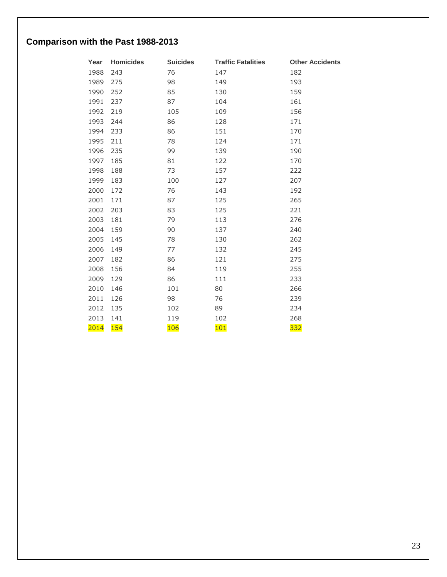# **Comparison with the Past 1988-2013**

| Year | <b>Homicides</b> | <b>Suicides</b> | <b>Traffic Fatalities</b> | <b>Other Accidents</b> |
|------|------------------|-----------------|---------------------------|------------------------|
| 1988 | 243              | 76              | 147                       | 182                    |
| 1989 | 275              | 98              | 149                       | 193                    |
| 1990 | 252              | 85              | 130                       | 159                    |
| 1991 | 237              | 87              | 104                       | 161                    |
| 1992 | 219              | 105             | 109                       | 156                    |
| 1993 | 244              | 86              | 128                       | 171                    |
| 1994 | 233              | 86              | 151                       | 170                    |
| 1995 | 211              | 78              | 124                       | 171                    |
| 1996 | 235              | 99              | 139                       | 190                    |
| 1997 | 185              | 81              | 122                       | 170                    |
| 1998 | 188              | 73              | 157                       | 222                    |
| 1999 | 183              | 100             | 127                       | 207                    |
| 2000 | 172              | 76              | 143                       | 192                    |
| 2001 | 171              | 87              | 125                       | 265                    |
| 2002 | 203              | 83              | 125                       | 221                    |
| 2003 | 181              | 79              | 113                       | 276                    |
| 2004 | 159              | 90              | 137                       | 240                    |
| 2005 | 145              | 78              | 130                       | 262                    |
| 2006 | 149              | 77              | 132                       | 245                    |
| 2007 | 182              | 86              | 121                       | 275                    |
| 2008 | 156              | 84              | 119                       | 255                    |
| 2009 | 129              | 86              | 111                       | 233                    |
| 2010 | 146              | 101             | 80                        | 266                    |
| 2011 | 126              | 98              | 76                        | 239                    |
| 2012 | 135              | 102             | 89                        | 234                    |
| 2013 | 141              | 119             | 102                       | 268                    |
| 2014 | 154              | 106             | 101                       | 332                    |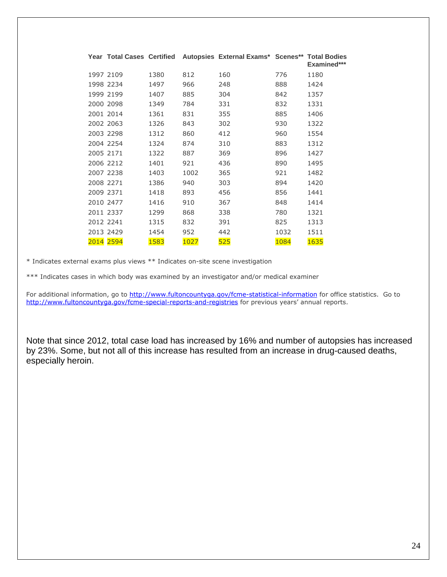|           |      |      | Year Total Cases Certified Autopsies External Exams* Scenes** Total Bodies |      |             |
|-----------|------|------|----------------------------------------------------------------------------|------|-------------|
|           |      |      |                                                                            |      | Examined*** |
| 1997 2109 | 1380 | 812  | 160                                                                        | 776  | 1180        |
| 1998 2234 | 1497 | 966  | 248                                                                        | 888  | 1424        |
| 1999 2199 | 1407 | 885  | 304                                                                        | 842  | 1357        |
| 2000 2098 | 1349 | 784  | 331                                                                        | 832  | 1331        |
| 2001 2014 | 1361 | 831  | 355                                                                        | 885  | 1406        |
| 2002 2063 | 1326 | 843  | 302                                                                        | 930  | 1322        |
| 2003 2298 | 1312 | 860  | 412                                                                        | 960  | 1554        |
| 2004 2254 | 1324 | 874  | 310                                                                        | 883  | 1312        |
| 2005 2171 | 1322 | 887  | 369                                                                        | 896  | 1427        |
| 2006 2212 | 1401 | 921  | 436                                                                        | 890  | 1495        |
| 2007 2238 | 1403 | 1002 | 365                                                                        | 921  | 1482        |
| 2008 2271 | 1386 | 940  | 303                                                                        | 894  | 1420        |
| 2009 2371 | 1418 | 893  | 456                                                                        | 856  | 1441        |
| 2010 2477 | 1416 | 910  | 367                                                                        | 848  | 1414        |
| 2011 2337 | 1299 | 868  | 338                                                                        | 780  | 1321        |
| 2012 2241 | 1315 | 832  | 391                                                                        | 825  | 1313        |
| 2013 2429 | 1454 | 952  | 442                                                                        | 1032 | 1511        |
| 2014 2594 | 1583 | 1027 | 525                                                                        | 1084 | 1635        |

\* Indicates external exams plus views \*\* Indicates on-site scene investigation

\*\*\* Indicates cases in which body was examined by an investigator and/or medical examiner

For additional information, go to<http://www.fultoncountyga.gov/fcme-statistical-information> for office statistics. Go to <http://www.fultoncountyga.gov/fcme-special-reports-and-registries></u> for previous years' annual reports.

Note that since 2012, total case load has increased by 16% and number of autopsies has increased by 23%. Some, but not all of this increase has resulted from an increase in drug-caused deaths, especially heroin.